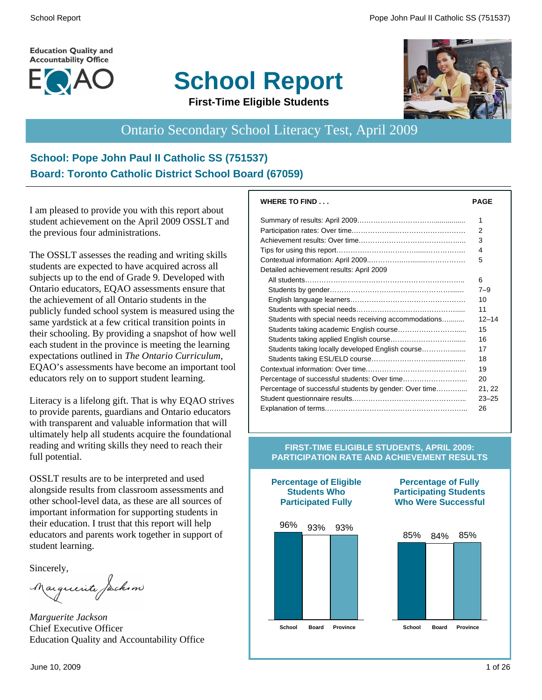**Education Quality and Accountability Office** 







# Ontario Secondary School Literacy Test, April 2009

#### **School: Pope John Paul II Catholic SS (751537) Board: Toronto Catholic District School Board (67059)**

I am pleased to provide you with this report about student achievement on the April 2009 OSSLT and the previous four administrations.

The OSSLT assesses the reading and writing skills students are expected to have acquired across all subjects up to the end of Grade 9. Developed with Ontario educators, EQAO assessments ensure that the achievement of all Ontario students in the publicly funded school system is measured using the same yardstick at a few critical transition points in their schooling. By providing a snapshot of how well each student in the province is meeting the learning expectations outlined in *The Ontario Curriculum*, EQAO's assessments have become an important tool educators rely on to support student learning.

Literacy is a lifelong gift. That is why EQAO strives to provide parents, guardians and Ontario educators with transparent and valuable information that will ultimately help all students acquire the foundational reading and writing skills they need to reach their full potential.

OSSLT results are to be interpreted and used alongside results from classroom assessments and other school-level data, as these are all sources of important information for supporting students in their education. I trust that this report will help educators and parents work together in support of student learning.

Sincerely,

Marguerite Jackson

*Marguerite Jackson* Chief Executive Officer Education Quality and Accountability Office

| <b>WHERE TO FIND</b>                                   | <b>PAGE</b> |
|--------------------------------------------------------|-------------|
|                                                        | 1           |
|                                                        | 2           |
|                                                        | 3           |
|                                                        | 4           |
|                                                        | 5           |
| Detailed achievement results: April 2009               |             |
|                                                        | 6           |
|                                                        | $7 - 9$     |
|                                                        | 10          |
|                                                        | 11          |
| Students with special needs receiving accommodations   | $12 - 14$   |
|                                                        | 15          |
|                                                        | 16          |
| Students taking locally developed English course       | 17          |
|                                                        | 18          |
|                                                        | 19          |
|                                                        | 20          |
| Percentage of successful students by gender: Over time | 21, 22      |
|                                                        | $23 - 25$   |
|                                                        | 26          |

#### **FIRST-TIME ELIGIBLE STUDENTS, APRIL 2009: PARTICIPATION RATE AND ACHIEVEMENT RESULTS**



**Percentage of Eligible**

#### **Percentage of Fully Participating Students Who Were Successful**

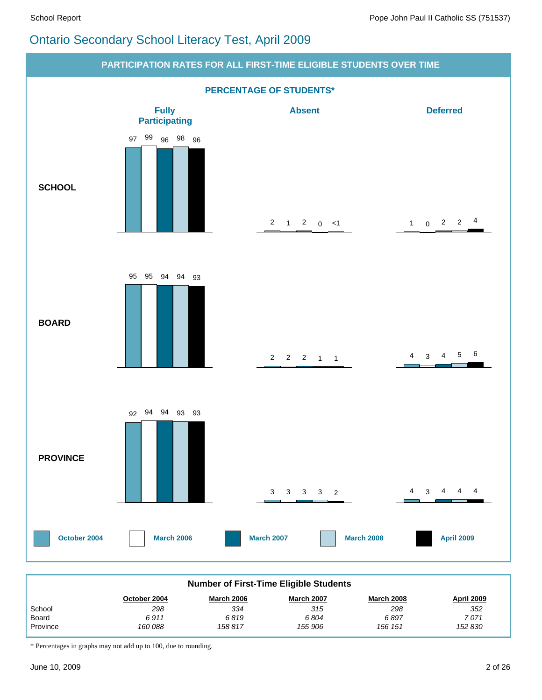# Ontario Secondary School Literacy Test, April 2009



| <b>Number of First-Time Eligible Students</b> |              |                   |                   |                   |            |  |  |  |  |
|-----------------------------------------------|--------------|-------------------|-------------------|-------------------|------------|--|--|--|--|
|                                               | October 2004 | <b>March 2006</b> | <b>March 2007</b> | <b>March 2008</b> | April 2009 |  |  |  |  |
| School                                        | 298          | 334               | 315               | 298               | 352        |  |  |  |  |
| Board                                         | 6911         | 6819              | 6804              | 6897              | 7 071      |  |  |  |  |
| Province                                      | 160 088      | 158 817           | 155 906           | 156 151           | 152 830    |  |  |  |  |

\* Percentages in graphs may not add up to 100, due to rounding.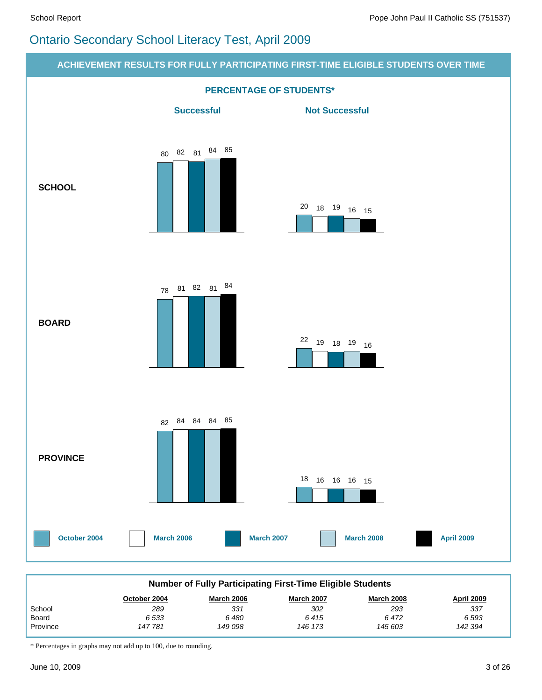# Ontario Secondary School Literacy Test, April 2009



\* Percentages in graphs may not add up to 100, due to rounding.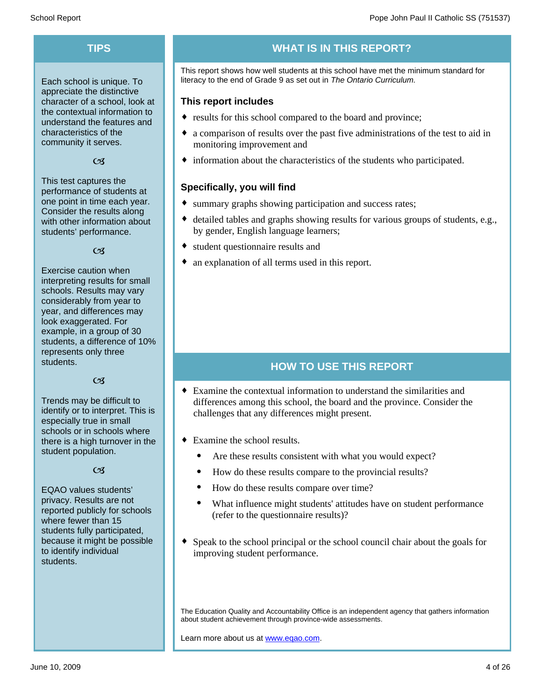Each school is unique. To appreciate the distinctive character of a school, look at the contextual information to understand the features and characteristics of the community it serves.

#### $C<sub>3</sub>$

This test captures the performance of students at one point in time each year. Consider the results along with other information about students' performance.

#### $\alpha$

Exercise caution when interpreting results for small schools. Results may vary considerably from year to year, and differences may look exaggerated. For example, in a group of 30 students, a difference of 10% represents only three students.

#### $C<sub>3</sub>$

Trends may be difficult to identify or to interpret. This is especially true in small schools or in schools where there is a high turnover in the student population.

#### $C<sub>3</sub>$

EQAO values students' privacy. Results are not reported publicly for schools where fewer than 15 students fully participated, because it might be possible to identify individual students.

## **TIPS WHAT IS IN THIS REPORT?**

This report shows how well students at this school have met the minimum standard for literacy to the end of Grade 9 as set out in *The Ontario Curriculum.*

#### **This report includes**

- results for this school compared to the board and province;
- a comparison of results over the past five administrations of the test to aid in monitoring improvement and
- $\bullet$  information about the characteristics of the students who participated.

#### **Specifically, you will find**

- summary graphs showing participation and success rates;
- $\bullet$  detailed tables and graphs showing results for various groups of students, e.g., by gender, English language learners;
- student questionnaire results and
- an explanation of all terms used in this report.

#### **HOW TO USE THIS REPORT**

- $\bullet$  Examine the contextual information to understand the similarities and differences among this school, the board and the province. Consider the challenges that any differences might present.
- $\bullet$  Examine the school results.
	- Are these results consistent with what you would expect?
	- · How do these results compare to the provincial results?
	- How do these results compare over time?
	- · What influence might students' attitudes have on student performance (refer to the questionnaire results)?
- $\bullet$  Speak to the school principal or the school council chair about the goals for improving student performance.

The Education Quality and Accountability Office is an independent agency that gathers information about student achievement through province-wide assessments.

Learn more about us at www.eqao.com.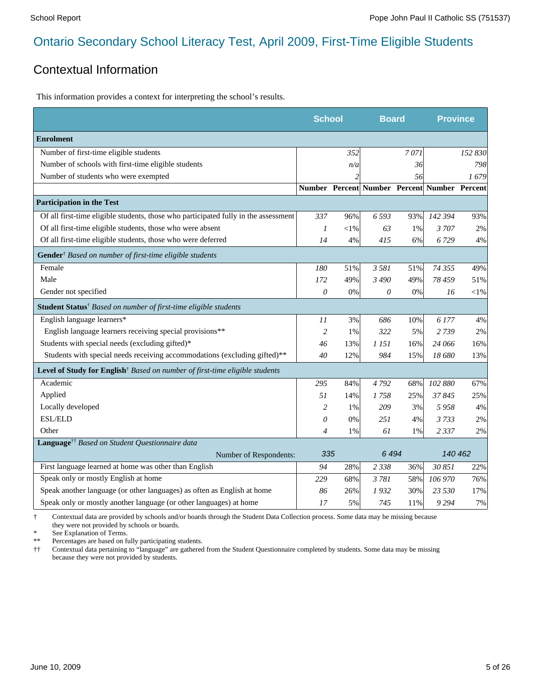### Contextual Information

This information provides a context for interpreting the school's results.

|                                                                                         | <b>School</b>  |                          | <b>Board</b>                                 |      | <b>Province</b> |         |
|-----------------------------------------------------------------------------------------|----------------|--------------------------|----------------------------------------------|------|-----------------|---------|
| <b>Enrolment</b>                                                                        |                |                          |                                              |      |                 |         |
| Number of first-time eligible students                                                  |                | 352                      |                                              | 7071 |                 | 152 830 |
| Number of schools with first-time eligible students                                     |                | n/a                      |                                              | 36   |                 | 798     |
| Number of students who were exempted                                                    |                | $\overline{\mathcal{L}}$ |                                              | 56   |                 | 1679    |
|                                                                                         |                |                          | Number Percent Number Percent Number Percent |      |                 |         |
| <b>Participation in the Test</b>                                                        |                |                          |                                              |      |                 |         |
| Of all first-time eligible students, those who participated fully in the assessment     | 337            | 96%                      | 6 5 9 3                                      | 93%  | 142 394         | 93%     |
| Of all first-time eligible students, those who were absent                              | 1              | $<$ 1%                   | 63                                           | 1%   | 3707            | 2%      |
| Of all first-time eligible students, those who were deferred                            | 14             | 4%                       | 415                                          | 6%   | 6729            | 4%      |
| Gender <sup>†</sup> Based on number of first-time eligible students                     |                |                          |                                              |      |                 |         |
| Female                                                                                  | 180            | 51%                      | 3 5 8 1                                      | 51%  | 74 355          | 49%     |
| Male                                                                                    | 172            | 49%                      | 3 4 9 0                                      | 49%  | 78 459          | 51%     |
| Gender not specified                                                                    | $\theta$       | 0%                       | 0                                            | 0%   | 16              | $<$ 1%  |
| Student Status <sup>†</sup> Based on number of first-time eligible students             |                |                          |                                              |      |                 |         |
| English language learners*                                                              | 11             | 3%                       | 686                                          | 10%  | 6 177           | 4%      |
| English language learners receiving special provisions**                                | $\overline{c}$ | 1%                       | 322                                          | 5%   | 2739            | 2%      |
| Students with special needs (excluding gifted)*                                         | 46             | 13%                      | 1 15 1                                       | 16%  | 24 066          | 16%     |
| Students with special needs receiving accommodations (excluding gifted)**               | 40             | 12%                      | 984                                          | 15%  | 18 680          | 13%     |
| Level of Study for English <sup>†</sup> Based on number of first-time eligible students |                |                          |                                              |      |                 |         |
| Academic                                                                                | 295            | 84%                      | 4792                                         | 68%  | 102 880         | 67%     |
| Applied                                                                                 | 51             | 14%                      | 1758                                         | 25%  | 37845           | 25%     |
| Locally developed                                                                       | $\overline{c}$ | 1%                       | 209                                          | 3%   | 5958            | 4%      |
| <b>ESL/ELD</b>                                                                          | 0              | 0%                       | 251                                          | 4%   | 3733            | 2%      |
| Other                                                                                   | 4              | 1%                       | 61                                           | 1%   | 2 3 3 7         | 2%      |
| Language <sup>+†</sup> Based on Student Questionnaire data                              |                |                          |                                              |      |                 |         |
| Number of Respondents:                                                                  | 335            |                          | 6494                                         |      | 140 462         |         |
| First language learned at home was other than English                                   | 94             | 28%                      | 2 3 3 8                                      | 36%  | 30 851          | 22%     |
| Speak only or mostly English at home                                                    | 229            | 68%                      | 3781                                         | 58%  | 106 970         | 76%     |
| Speak another language (or other languages) as often as English at home                 | 86             | 26%                      | 1932                                         | 30%  | 23 530          | 17%     |
| Speak only or mostly another language (or other languages) at home                      | 17             | 5%                       | 745                                          | 11%  | 9294            | 7%      |

† Contextual data are provided by schools and/or boards through the Student Data Collection process. Some data may be missing because they were not provided by schools or boards.

\* See Explanation of Terms.<br>\*\* Percentages are based on fi-

Percentages are based on fully participating students.

†† Contextual data pertaining to "language" are gathered from the Student Questionnaire completed by students. Some data may be missing because they were not provided by students.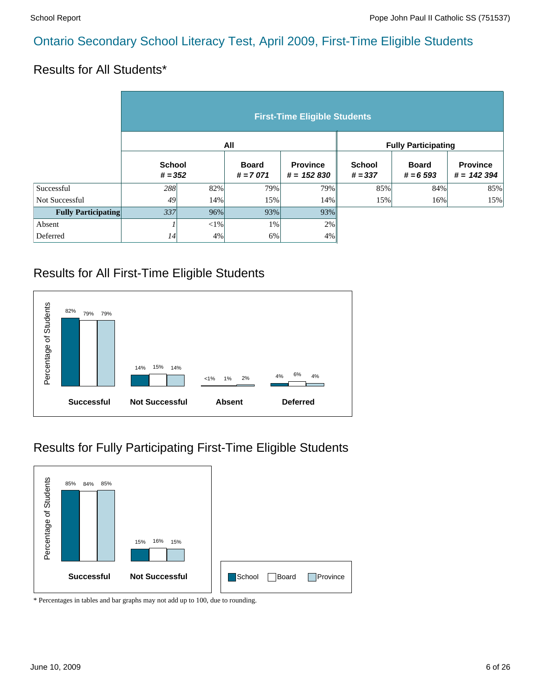#### Results for All Students\*

|                            | <b>First-Time Eligible Students</b> |          |                            |                                 |                            |                            |                                 |  |  |  |
|----------------------------|-------------------------------------|----------|----------------------------|---------------------------------|----------------------------|----------------------------|---------------------------------|--|--|--|
|                            |                                     |          | All                        |                                 | <b>Fully Participating</b> |                            |                                 |  |  |  |
|                            | <b>School</b><br>$# = 352$          |          | <b>Board</b><br>$# = 7071$ | <b>Province</b><br>$# = 152830$ | <b>School</b><br>$# = 337$ | <b>Board</b><br>$# = 6593$ | <b>Province</b><br>$# = 142394$ |  |  |  |
| Successful                 | 288                                 | 82%      | 79%                        | 79%                             | 85%                        | 84%                        | 85%                             |  |  |  |
| Not Successful             | 49                                  | 14%      | 15%                        | 14%                             | 15%                        | 16%                        | 15%                             |  |  |  |
| <b>Fully Participating</b> | 337                                 | 96%      | 93%                        | 93%                             |                            |                            |                                 |  |  |  |
| Absent                     |                                     | ${<}1\%$ | 1%                         | 2%                              |                            |                            |                                 |  |  |  |
| Deferred                   | 14                                  | 4%       | 6%                         | 4%                              |                            |                            |                                 |  |  |  |

### Results for All First-Time Eligible Students



# Results for Fully Participating First-Time Eligible Students

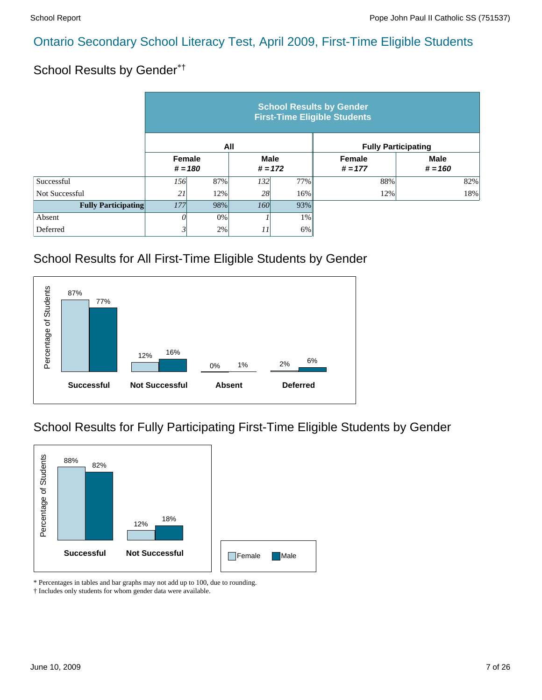# School Results by Gender\*†

|                            | <b>School Results by Gender</b><br><b>First-Time Eligible Students</b> |           |                          |       |                     |                            |  |  |  |  |
|----------------------------|------------------------------------------------------------------------|-----------|--------------------------|-------|---------------------|----------------------------|--|--|--|--|
|                            |                                                                        |           | All                      |       |                     | <b>Fully Participating</b> |  |  |  |  |
|                            | Female                                                                 | $# = 180$ | <b>Male</b><br>$# = 172$ |       | Female<br>$# = 177$ | <b>Male</b><br>$# = 160$   |  |  |  |  |
| Successful                 | 156                                                                    | 87%       | 132 <sup> </sup>         | 77%   | 88%                 | 82%                        |  |  |  |  |
| Not Successful             | 21                                                                     | 12%       | 28                       | 16%   | 12%                 | 18%                        |  |  |  |  |
| <b>Fully Participating</b> | 177<br>98%                                                             |           | <i>160</i>               | 93%   |                     |                            |  |  |  |  |
| Absent                     | 0                                                                      | 0%        |                          | $1\%$ |                     |                            |  |  |  |  |
| Deferred                   | 3                                                                      | 2%        | 11                       | 6%    |                     |                            |  |  |  |  |

# School Results for All First-Time Eligible Students by Gender



# School Results for Fully Participating First-Time Eligible Students by Gender



\* Percentages in tables and bar graphs may not add up to 100, due to rounding.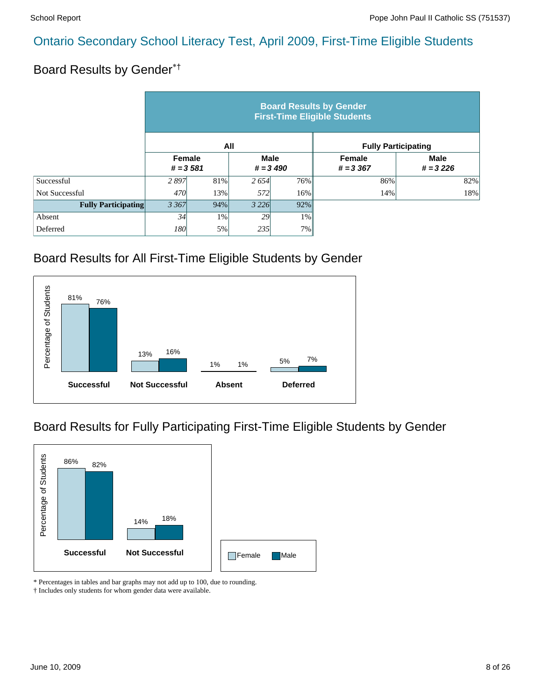# Board Results by Gender\*†

|                            | <b>Board Results by Gender</b><br><b>First-Time Eligible Students</b> |     |                            |       |                            |                           |  |  |  |  |
|----------------------------|-----------------------------------------------------------------------|-----|----------------------------|-------|----------------------------|---------------------------|--|--|--|--|
|                            |                                                                       |     | All                        |       | <b>Fully Participating</b> |                           |  |  |  |  |
|                            | Female<br>$# = 3581$                                                  |     | <b>Male</b><br>$# = 3,490$ |       | Female<br>$# = 3,367$      | <b>Male</b><br>$# = 3226$ |  |  |  |  |
| Successful                 | 2897                                                                  | 81% | 2654                       | 76%   | 86%                        | 82%                       |  |  |  |  |
| Not Successful             | 470                                                                   | 13% | 572                        | 16%   | 14%                        | 18%                       |  |  |  |  |
| <b>Fully Participating</b> | 3 3 6 7                                                               | 94% | 3 2 2 6                    | 92%   |                            |                           |  |  |  |  |
| Absent                     | 34                                                                    | 1%  | 29                         | $1\%$ |                            |                           |  |  |  |  |
| Deferred                   | 180                                                                   | 5%  | 235                        | 7%    |                            |                           |  |  |  |  |

# Board Results for All First-Time Eligible Students by Gender



# Board Results for Fully Participating First-Time Eligible Students by Gender



\* Percentages in tables and bar graphs may not add up to 100, due to rounding.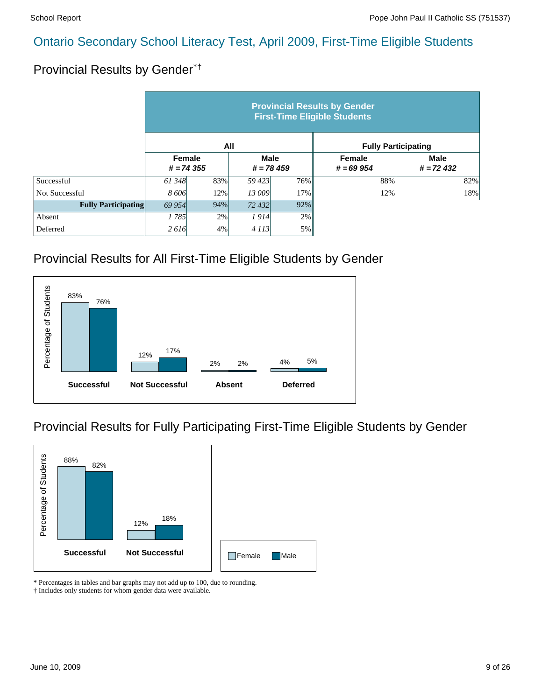# Provincial Results by Gender\*†

|                            | <b>Provincial Results by Gender</b><br><b>First-Time Eligible Students</b> |     |                            |     |                              |                            |  |  |  |  |
|----------------------------|----------------------------------------------------------------------------|-----|----------------------------|-----|------------------------------|----------------------------|--|--|--|--|
|                            |                                                                            | All |                            |     | <b>Fully Participating</b>   |                            |  |  |  |  |
|                            | Female<br>$# = 74355$                                                      |     | <b>Male</b><br>$# = 78459$ |     | <b>Female</b><br>$# = 69954$ | <b>Male</b><br>$# = 72432$ |  |  |  |  |
| Successful                 | 61 348                                                                     | 83% | 59423                      | 76% | 88%                          | 82%                        |  |  |  |  |
| Not Successful             | 8 606                                                                      | 12% | 13 009                     | 17% | 12%                          | 18%                        |  |  |  |  |
| <b>Fully Participating</b> | 94%<br>69 954                                                              |     | 72 432                     | 92% |                              |                            |  |  |  |  |
| Absent                     | 1785                                                                       | 2%  | 1914                       | 2%  |                              |                            |  |  |  |  |
| Deferred                   | 2616                                                                       | 4%  | 4113                       | 5%  |                              |                            |  |  |  |  |

# Provincial Results for All First-Time Eligible Students by Gender



# Provincial Results for Fully Participating First-Time Eligible Students by Gender



\* Percentages in tables and bar graphs may not add up to 100, due to rounding.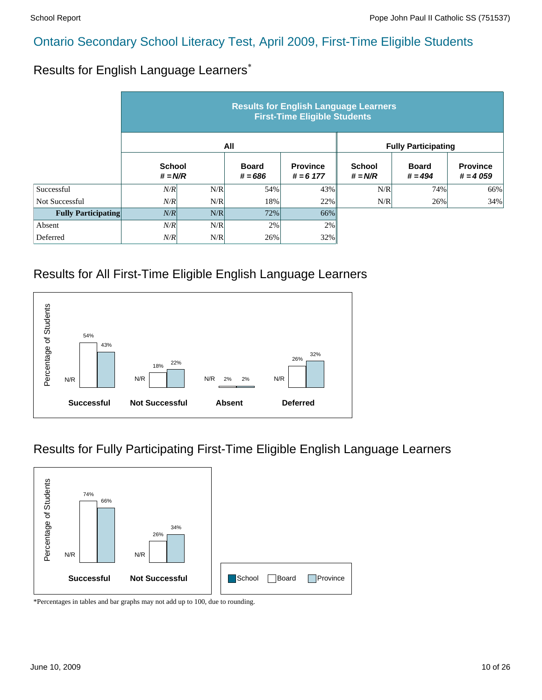# Results for English Language Learners\*

|                            | <b>Results for English Language Learners</b><br><b>First-Time Eligible Students</b> |     |                           |                                |                            |                           |                               |  |  |  |
|----------------------------|-------------------------------------------------------------------------------------|-----|---------------------------|--------------------------------|----------------------------|---------------------------|-------------------------------|--|--|--|
|                            |                                                                                     |     | All                       |                                | <b>Fully Participating</b> |                           |                               |  |  |  |
|                            | <b>School</b><br>$# = N/R$                                                          |     | <b>Board</b><br>$# = 686$ | <b>Province</b><br>$# = 6 177$ | <b>School</b><br>$# = N/R$ | <b>Board</b><br>$# = 494$ | <b>Province</b><br>$# = 4059$ |  |  |  |
| Successful                 | N/R                                                                                 | N/R | 54%                       | 43%                            | N/R                        | 74%                       | 66%                           |  |  |  |
| Not Successful             | N/R                                                                                 | N/R | 18%                       | 22%                            | N/R                        | 26%                       | 34%                           |  |  |  |
| <b>Fully Participating</b> | N/R                                                                                 | N/R | 72%                       | 66%                            |                            |                           |                               |  |  |  |
| Absent                     | N/R                                                                                 | N/R | 2%                        | 2%                             |                            |                           |                               |  |  |  |
| Deferred                   | N/R                                                                                 | N/R | 26%                       | 32%                            |                            |                           |                               |  |  |  |

### Results for All First-Time Eligible English Language Learners



### Results for Fully Participating First-Time Eligible English Language Learners

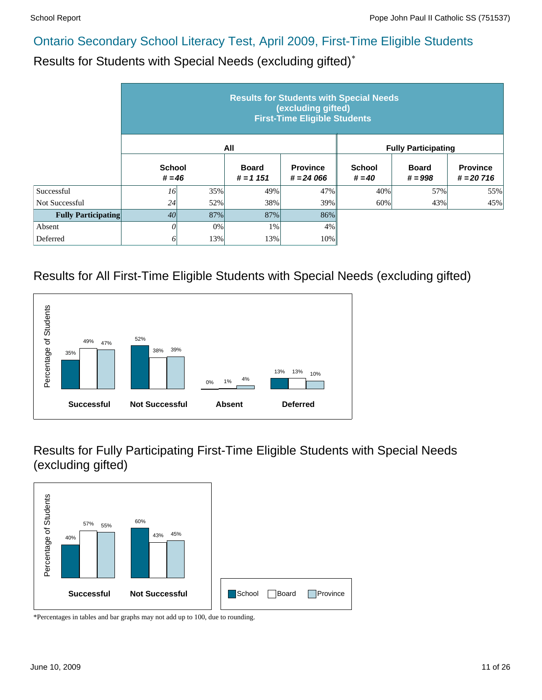Results for Students with Special Needs (excluding gifted)\*

|                            | <b>Results for Students with Special Needs</b><br>(excluding gifted)<br><b>First-Time Eligible Students</b> |     |                            |                                |                            |                           |                                |  |  |  |
|----------------------------|-------------------------------------------------------------------------------------------------------------|-----|----------------------------|--------------------------------|----------------------------|---------------------------|--------------------------------|--|--|--|
|                            |                                                                                                             |     | All                        |                                | <b>Fully Participating</b> |                           |                                |  |  |  |
|                            | <b>School</b><br>$# = 46$                                                                                   |     | <b>Board</b><br>$# = 1151$ | <b>Province</b><br>$# = 24066$ | <b>School</b><br>$# = 40$  | <b>Board</b><br>$# = 998$ | <b>Province</b><br>$# = 20716$ |  |  |  |
| Successful                 | 16                                                                                                          | 35% | 49%                        | 47%                            | 40%                        | 57%                       | 55%                            |  |  |  |
| Not Successful             | 24                                                                                                          | 52% | 38%                        | 39%                            | 60%                        | 43%                       | 45%                            |  |  |  |
| <b>Fully Participating</b> | 40                                                                                                          | 87% | 87%                        | 86%                            |                            |                           |                                |  |  |  |
| Absent                     | 0                                                                                                           | 0%  | 1%                         | 4%                             |                            |                           |                                |  |  |  |
| Deferred                   | 61                                                                                                          | 13% | 13%                        | 10%                            |                            |                           |                                |  |  |  |

### Results for All First-Time Eligible Students with Special Needs (excluding gifted)



Results for Fully Participating First-Time Eligible Students with Special Needs (excluding gifted)

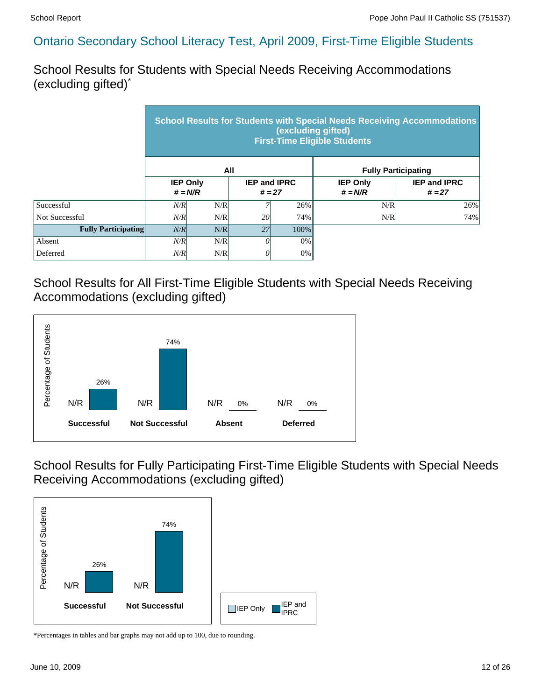School Results for Students with Special Needs Receiving Accommodations (excluding gifted)\*

|                            | <b>School Results for Students with Special Needs Receiving Accommodations</b><br>(excluding gifted)<br><b>First-Time Eligible Students</b> |     |                     |          |                              |                                 |  |  |  |  |
|----------------------------|---------------------------------------------------------------------------------------------------------------------------------------------|-----|---------------------|----------|------------------------------|---------------------------------|--|--|--|--|
|                            |                                                                                                                                             |     | All                 |          | <b>Fully Participating</b>   |                                 |  |  |  |  |
|                            | <b>IEP Only</b><br>$# = N/R$                                                                                                                |     | <b>IEP and IPRC</b> | $# = 27$ | <b>IEP Only</b><br>$# = N/R$ | <b>IEP and IPRC</b><br>$# = 27$ |  |  |  |  |
| Successful                 | N/R                                                                                                                                         | N/R |                     | 26%      | N/R                          | 26%                             |  |  |  |  |
| Not Successful             | N/R                                                                                                                                         | N/R | 20                  | 74%      | N/R                          | 74%                             |  |  |  |  |
| <b>Fully Participating</b> | N/R                                                                                                                                         | N/R | 27                  | 100%     |                              |                                 |  |  |  |  |
| Absent                     | N/R                                                                                                                                         | N/R | 0                   | $0\%$    |                              |                                 |  |  |  |  |
| Deferred                   | N/R                                                                                                                                         | N/R | 0                   | $0\%$    |                              |                                 |  |  |  |  |

#### School Results for All First-Time Eligible Students with Special Needs Receiving Accommodations (excluding gifted)



School Results for Fully Participating First-Time Eligible Students with Special Needs Receiving Accommodations (excluding gifted)

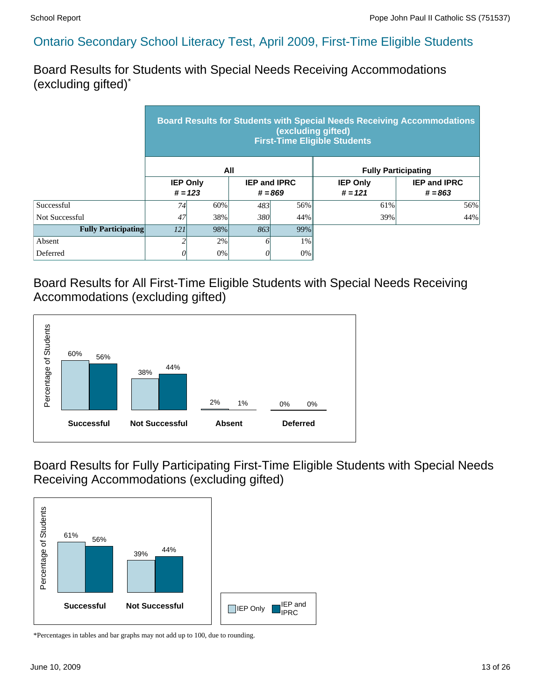Board Results for Students with Special Needs Receiving Accommodations (excluding gifted)\*

|                            | <b>Board Results for Students with Special Needs Receiving Accommodations</b><br>(excluding gifted)<br><b>First-Time Eligible Students</b> |     |     |                                  |                              |                                  |  |  |  |
|----------------------------|--------------------------------------------------------------------------------------------------------------------------------------------|-----|-----|----------------------------------|------------------------------|----------------------------------|--|--|--|
|                            |                                                                                                                                            |     | All |                                  |                              | <b>Fully Participating</b>       |  |  |  |
|                            | <b>IEP Only</b><br>$# = 123$                                                                                                               |     |     | <b>IEP and IPRC</b><br>$# = 869$ | <b>IEP Only</b><br>$# = 121$ | <b>IEP and IPRC</b><br>$# = 863$ |  |  |  |
| Successful                 | 74                                                                                                                                         | 60% | 483 | 56%                              | 61%                          | 56%                              |  |  |  |
| Not Successful             | 47                                                                                                                                         | 38% | 380 | 44%                              | 39%                          | 44%                              |  |  |  |
| <b>Fully Participating</b> | 121                                                                                                                                        | 98% | 863 | 99%                              |                              |                                  |  |  |  |
| Absent                     |                                                                                                                                            | 2%  | Ô   | 1%                               |                              |                                  |  |  |  |
| Deferred                   | 0%<br>0%<br>0                                                                                                                              |     |     |                                  |                              |                                  |  |  |  |

Board Results for All First-Time Eligible Students with Special Needs Receiving Accommodations (excluding gifted)



Board Results for Fully Participating First-Time Eligible Students with Special Needs Receiving Accommodations (excluding gifted)

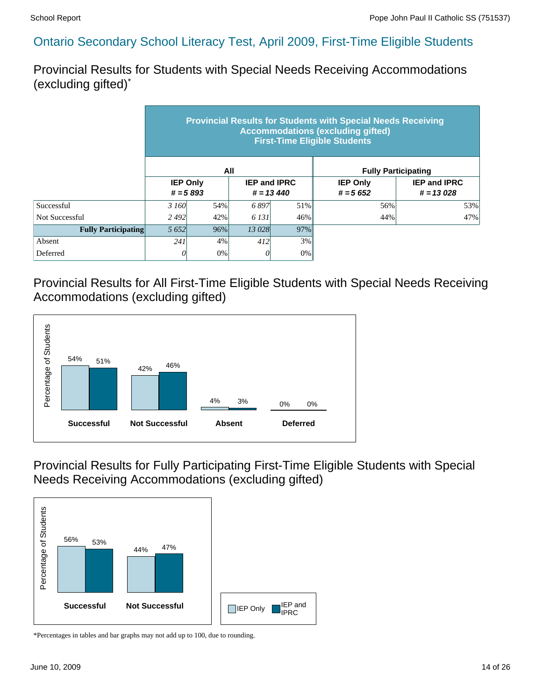Provincial Results for Students with Special Needs Receiving Accommodations (excluding gifted)\*

|                            | <b>Provincial Results for Students with Special Needs Receiving</b><br><b>Accommodations (excluding gifted)</b><br><b>First-Time Eligible Students</b> |     |                                     |     |                               |                                    |  |  |  |  |
|----------------------------|--------------------------------------------------------------------------------------------------------------------------------------------------------|-----|-------------------------------------|-----|-------------------------------|------------------------------------|--|--|--|--|
|                            |                                                                                                                                                        |     | All                                 |     | <b>Fully Participating</b>    |                                    |  |  |  |  |
|                            | <b>IEP Only</b><br>$# = 5893$                                                                                                                          |     | <b>IEP and IPRC</b><br>$# = 13,440$ |     | <b>IEP Only</b><br>$# = 5652$ | <b>IEP and IPRC</b><br>$# = 13028$ |  |  |  |  |
| Successful                 | 3 160                                                                                                                                                  | 54% | 6897                                | 51% | 56%                           | 53%                                |  |  |  |  |
| Not Successful             | 2492                                                                                                                                                   | 42% | 6 131<br>46%                        |     | 44%                           | 47%                                |  |  |  |  |
| <b>Fully Participating</b> | 5 6 5 2                                                                                                                                                | 96% | 13 028                              | 97% |                               |                                    |  |  |  |  |
| Absent                     | 241                                                                                                                                                    | 4%  | 412                                 | 3%  |                               |                                    |  |  |  |  |
| Deferred                   | 0                                                                                                                                                      | 0%  | U                                   | 0%  |                               |                                    |  |  |  |  |

Provincial Results for All First-Time Eligible Students with Special Needs Receiving Accommodations (excluding gifted)



Provincial Results for Fully Participating First-Time Eligible Students with Special Needs Receiving Accommodations (excluding gifted)

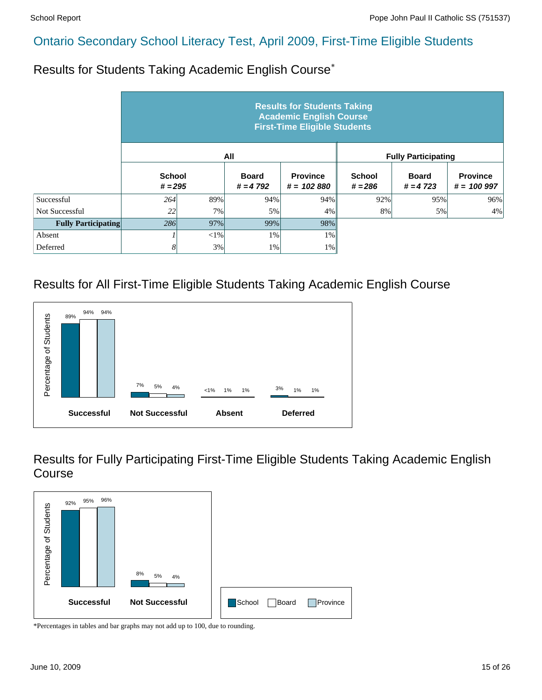Results for Students Taking Academic English Course\*

|                            | <b>Results for Students Taking</b><br><b>Academic English Course</b><br><b>First-Time Eligible Students</b> |        |                            |                                 |                            |                            |                                 |  |  |  |  |
|----------------------------|-------------------------------------------------------------------------------------------------------------|--------|----------------------------|---------------------------------|----------------------------|----------------------------|---------------------------------|--|--|--|--|
|                            |                                                                                                             |        | All                        |                                 |                            | <b>Fully Participating</b> |                                 |  |  |  |  |
|                            | <b>School</b><br>$# = 295$                                                                                  |        | <b>Board</b><br>$# = 4792$ | <b>Province</b><br>$# = 102880$ | <b>School</b><br>$# = 286$ | <b>Board</b><br>$# = 4723$ | <b>Province</b><br>$# = 100997$ |  |  |  |  |
| Successful                 | 264                                                                                                         | 89%    | 94%                        | 94%                             | 92%                        | 95%                        | 96%                             |  |  |  |  |
| Not Successful             | 22                                                                                                          | 7%     | 5%                         | 4%                              | 8%                         | 5%                         | 4%                              |  |  |  |  |
| <b>Fully Participating</b> | 286                                                                                                         | 97%    | 99%                        | 98%                             |                            |                            |                                 |  |  |  |  |
| Absent                     |                                                                                                             | $<$ 1% | 1%                         | $1\%$                           |                            |                            |                                 |  |  |  |  |
| Deferred                   | 8                                                                                                           | 3%     | 1%                         | $1\%$                           |                            |                            |                                 |  |  |  |  |

#### Results for All First-Time Eligible Students Taking Academic English Course



Results for Fully Participating First-Time Eligible Students Taking Academic English Course

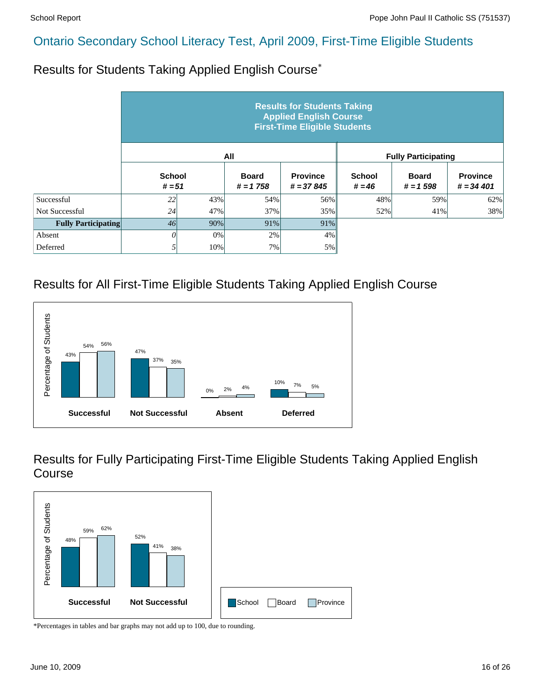Results for Students Taking Applied English Course\*

|                            | <b>Results for Students Taking</b><br><b>Applied English Course</b><br><b>First-Time Eligible Students</b> |     |                            |                                |                           |                            |                                |  |  |  |  |
|----------------------------|------------------------------------------------------------------------------------------------------------|-----|----------------------------|--------------------------------|---------------------------|----------------------------|--------------------------------|--|--|--|--|
|                            |                                                                                                            |     | All                        |                                |                           | <b>Fully Participating</b> |                                |  |  |  |  |
|                            | <b>School</b><br>$# = 51$                                                                                  |     | <b>Board</b><br>$# = 1758$ | <b>Province</b><br>$# = 37845$ | <b>School</b><br>$# = 46$ | <b>Board</b><br>$# = 1598$ | <b>Province</b><br>$# = 34401$ |  |  |  |  |
| Successful                 | 22                                                                                                         | 43% | 54%                        | 56%                            | 48%                       | 59%                        | 62%                            |  |  |  |  |
| Not Successful             | 24                                                                                                         | 47% | 37%                        | 35%                            | 52%                       | 41%                        | 38%                            |  |  |  |  |
| <b>Fully Participating</b> | 46                                                                                                         | 90% | 91%                        | 91%                            |                           |                            |                                |  |  |  |  |
| Absent                     | 0                                                                                                          | 0%  | 2%                         | 4%                             |                           |                            |                                |  |  |  |  |
| Deferred                   | 5                                                                                                          | 10% | 7%                         | 5%                             |                           |                            |                                |  |  |  |  |

#### Results for All First-Time Eligible Students Taking Applied English Course



Results for Fully Participating First-Time Eligible Students Taking Applied English Course

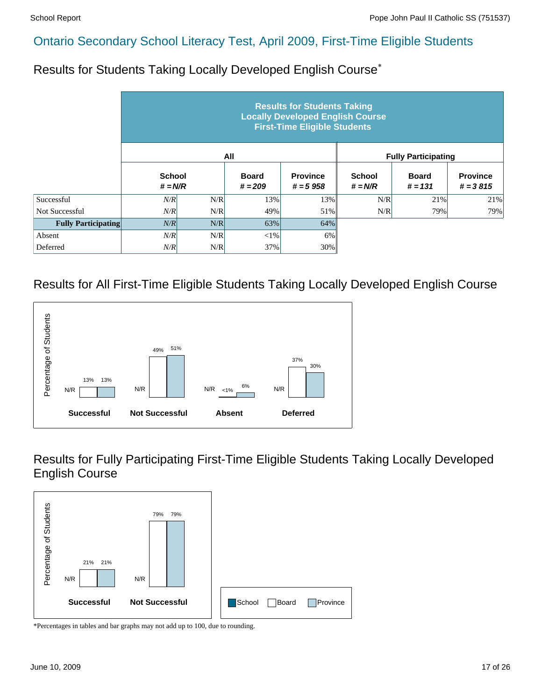Results for Students Taking Locally Developed English Course\*

|                            |                            |     |                           | <b>Results for Students Taking</b><br><b>Locally Developed English Course</b><br><b>First-Time Eligible Students</b> |                            |                            |                               |
|----------------------------|----------------------------|-----|---------------------------|----------------------------------------------------------------------------------------------------------------------|----------------------------|----------------------------|-------------------------------|
|                            |                            |     | All                       |                                                                                                                      |                            | <b>Fully Participating</b> |                               |
|                            | <b>School</b><br>$# = N/R$ |     | <b>Board</b><br>$# = 209$ | <b>Province</b><br>$# = 5958$                                                                                        | <b>School</b><br>$# = N/R$ | <b>Board</b><br>$# = 131$  | <b>Province</b><br>$# = 3815$ |
| Successful                 | N/R                        | N/R | 13%                       | 13%                                                                                                                  | N/R                        | 21%                        | 21%                           |
| <b>Not Successful</b>      | N/R                        | N/R | 49%                       | 51%                                                                                                                  | N/R                        | 79%                        | 79%                           |
| <b>Fully Participating</b> | N/R                        | N/R | 63%                       | 64%                                                                                                                  |                            |                            |                               |
| Absent                     | N/R                        | N/R | $<$ 1%                    | 6%                                                                                                                   |                            |                            |                               |
| Deferred                   | N/R                        | N/R | 37%                       | 30%                                                                                                                  |                            |                            |                               |

#### Results for All First-Time Eligible Students Taking Locally Developed English Course



Results for Fully Participating First-Time Eligible Students Taking Locally Developed English Course

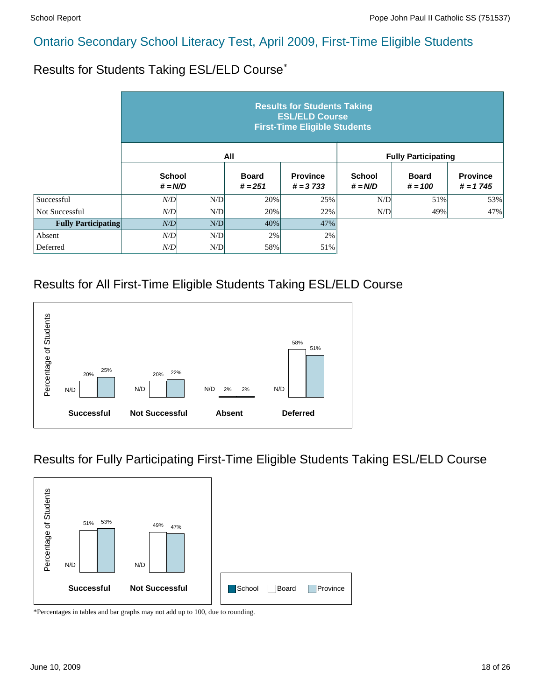Results for Students Taking ESL/ELD Course\*

|                            |                            |     |                           | <b>Results for Students Taking</b><br><b>ESL/ELD Course</b><br><b>First-Time Eligible Students</b> |                            |                            |                               |
|----------------------------|----------------------------|-----|---------------------------|----------------------------------------------------------------------------------------------------|----------------------------|----------------------------|-------------------------------|
|                            |                            |     | All                       |                                                                                                    |                            | <b>Fully Participating</b> |                               |
|                            | <b>School</b><br>$# = N/D$ |     | <b>Board</b><br>$# = 251$ | <b>Province</b><br>$# = 3733$                                                                      | <b>School</b><br>$# = N/D$ | <b>Board</b><br>$# = 100$  | <b>Province</b><br>$# = 1745$ |
| Successful                 | N/D                        | N/D | 20%                       | 25%                                                                                                | N/D                        | 51%                        | 53%                           |
| <b>Not Successful</b>      | N/D                        | N/D | 20%                       | 22%                                                                                                | N/D                        | 49%                        | 47%                           |
| <b>Fully Participating</b> | N/D                        | N/D | 40%                       | 47%                                                                                                |                            |                            |                               |
| Absent                     | N/D                        | N/D | 2%                        | 2%                                                                                                 |                            |                            |                               |
| Deferred                   | N/D                        | N/D | 58%                       | 51%                                                                                                |                            |                            |                               |

### Results for All First-Time Eligible Students Taking ESL/ELD Course



### Results for Fully Participating First-Time Eligible Students Taking ESL/ELD Course

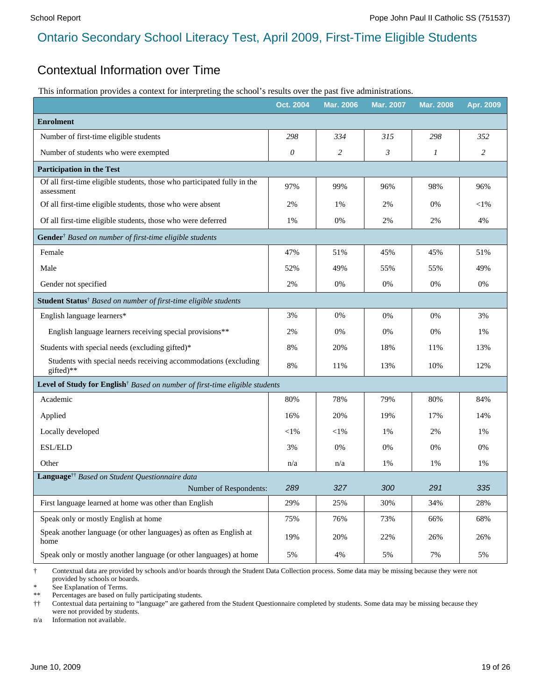#### Contextual Information over Time

This information provides a context for interpreting the school's results over the past five administrations.

|                                                                                                            | Oct. 2004 | Mar. 2006 | <b>Mar. 2007</b> | <b>Mar. 2008</b> | Apr. 2009 |
|------------------------------------------------------------------------------------------------------------|-----------|-----------|------------------|------------------|-----------|
| <b>Enrolment</b>                                                                                           |           |           |                  |                  |           |
| Number of first-time eligible students                                                                     | 298       | 334       | 315              | 298              | 352       |
| Number of students who were exempted                                                                       | 0         | 2         | 3                | 1                | 2         |
| <b>Participation in the Test</b>                                                                           |           |           |                  |                  |           |
| Of all first-time eligible students, those who participated fully in the<br>assessment                     | 97%       | 99%       | 96%              | 98%              | 96%       |
| Of all first-time eligible students, those who were absent                                                 | 2%        | 1%        | 2%               | 0%               | $<$ 1%    |
| Of all first-time eligible students, those who were deferred                                               | 1%        | 0%        | 2%               | 2%               | 4%        |
| Gender <sup>†</sup> Based on number of first-time eligible students                                        |           |           |                  |                  |           |
| Female                                                                                                     | 47%       | 51%       | 45%              | 45%              | 51%       |
| Male                                                                                                       | 52%       | 49%       | 55%              | 55%              | 49%       |
| Gender not specified                                                                                       | 2%        | 0%        | 0%               | 0%               | 0%        |
| Student Status <sup>†</sup> Based on number of first-time eligible students                                |           |           |                  |                  |           |
| English language learners*                                                                                 | 3%        | 0%        | 0%               | 0%               | 3%        |
| English language learners receiving special provisions**                                                   | 2%        | 0%        | 0%               | 0%               | 1%        |
| Students with special needs (excluding gifted)*                                                            | 8%        | 20%       | 18%              | 11%              | 13%       |
| Students with special needs receiving accommodations (excluding<br>gifted)**                               | 8%        | 11%       | 13%              | 10%              | 12%       |
| Level of Study for English <sup>†</sup> Based on number of first-time eligible students                    |           |           |                  |                  |           |
| Academic                                                                                                   | 80%       | 78%       | 79%              | 80%              | 84%       |
| Applied                                                                                                    | 16%       | 20%       | 19%              | 17%              | 14%       |
| Locally developed                                                                                          | $<$ 1%    | $<$ 1%    | 1%               | 2%               | $1\%$     |
| ESL/ELD                                                                                                    | 3%        | 0%        | 0%               | 0%               | 0%        |
| Other                                                                                                      | n/a       | n/a       | 1%               | 1%               | 1%        |
| Language <sup>††</sup> Based on Student Questionnaire data                                                 |           |           |                  |                  |           |
| Number of Respondents:                                                                                     | 289       | 327       | 300              | 291              | 335       |
| First language learned at home was other than English                                                      | 29%       | 25%       | 30%              | 34%              | 28%       |
| Speak only or mostly English at home<br>Speak another language (or other languages) as often as English at | 75%       | 76%       | 73%              | 66%              | 68%       |
| home                                                                                                       | 19%       | 20%       | 22%              | 26%              | 26%       |
| Speak only or mostly another language (or other languages) at home                                         | 5%        | 4%        | 5%               | 7%               | 5%        |

† Contextual data are provided by schools and/or boards through the Student Data Collection process. Some data may be missing because they were not provided by schools or boards.

See Explanation of Terms.

\*\* Percentages are based on fully participating students.

†† Contextual data pertaining to "language" are gathered from the Student Questionnaire completed by students. Some data may be missing because they were not provided by students.

n/a Information not available.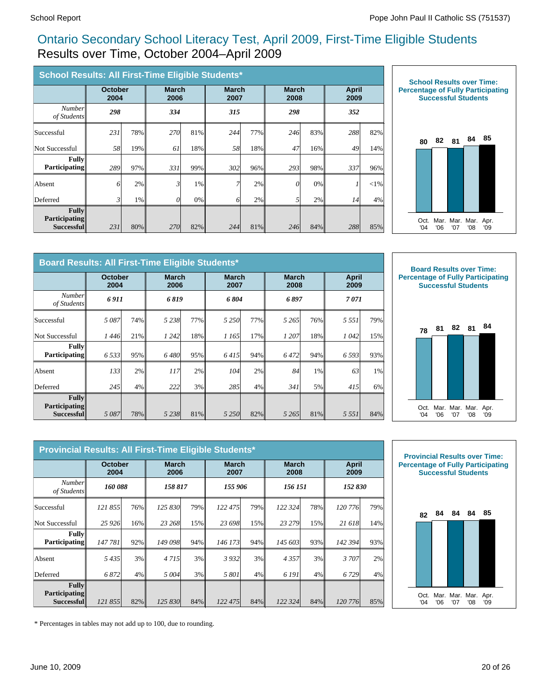### Ontario Secondary School Literacy Test, April 2009, First-Time Eligible Students Results over Time, October 2004–April 2009

| School Results: All First-Time Eligible Students*  |                        |     |                      |       |                      |     |                      |     |                      |        |
|----------------------------------------------------|------------------------|-----|----------------------|-------|----------------------|-----|----------------------|-----|----------------------|--------|
|                                                    | <b>October</b><br>2004 |     | <b>March</b><br>2006 |       | <b>March</b><br>2007 |     | <b>March</b><br>2008 |     | <b>April</b><br>2009 |        |
| <b>Number</b><br>of Students                       | 298                    |     | 334                  |       | 315                  |     | 298                  |     | 352                  |        |
| Successful                                         | 231                    | 78% | <b>270</b>           | 81%   | 244                  | 77% | 246                  | 83% | 288                  | 82%    |
| Not Successful                                     | 58                     | 19% | 61                   | 18%   | 58                   | 18% | 47                   | 16% | 49                   | 14%    |
| <b>Fully</b><br><b>Participating</b>               | 289                    | 97% | 331                  | 99%   | 302                  | 96% | 293                  | 98% | 337                  | 96%    |
| Absent                                             | 6                      | 2%  | 3                    | $1\%$ | 7                    | 2%  | 0                    | 0%  |                      | $<$ 1% |
| Deferred                                           | 3                      | 1%  | 0                    | 0%    | 6                    | 2%  | 5                    | 2%  | 14                   | 4%     |
| Fullv<br><b>Participating</b><br><b>Successful</b> | 231                    | 80% | 270                  | 82%   | 244                  | 81% | 246                  | 84% | 288                  | 85%    |



|                                                       | Board Results: All First-Time Eligible Students* |     |                      |     |                      |       |                      |     |                      |     |  |
|-------------------------------------------------------|--------------------------------------------------|-----|----------------------|-----|----------------------|-------|----------------------|-----|----------------------|-----|--|
|                                                       | <b>October</b><br>2004                           |     | <b>March</b><br>2006 |     | <b>March</b><br>2007 |       | <b>March</b><br>2008 |     | <b>April</b><br>2009 |     |  |
| Number<br>of Students                                 | 6 911                                            |     | 6819                 |     | 6804                 |       | 6 897                |     | 7071                 |     |  |
| Successful                                            | 5087                                             | 74% | 5238                 | 77% | 5 2 5 0              | 77%I  | 5 2 6 5              | 76% | 5 5 5 1              | 79% |  |
| Not Successful                                        | 1 446                                            | 21% | 1 2 4 2              | 18% | 1 165                | 17%   | 1 207                | 18% | 1042                 | 15% |  |
| Fully<br><b>Participating</b>                         | 6 5 3 3                                          | 95% | 6480                 | 95% | 6415                 | 94%   | 6472                 | 94% | 6 5 9 3              | 93% |  |
| Absent                                                | 133                                              | 2%  | 117                  | 2%  | 104                  | 2%    | 84                   | 1%  | 63                   | 1%  |  |
| Deferred                                              | 245                                              | 4%  | 222                  | 3%  | 285                  | $4\%$ | 341                  | 5%  | 415                  | 6%  |  |
| $\mathbf{Full}$<br><b>Participating</b><br>Successful | 5087                                             | 78% | 5 2 3 8 1            | 81% | 5 2 5 0              | 82%   | 5 2 6 5              | 81% | 5 5 5 1              | 84% |  |



|                                                    | Provincial Results: All First-Time Eligible Students* |     |         |                      |         |                      |         |                      |                      |     |  |
|----------------------------------------------------|-------------------------------------------------------|-----|---------|----------------------|---------|----------------------|---------|----------------------|----------------------|-----|--|
|                                                    | <b>October</b><br>2004                                |     |         | <b>March</b><br>2006 |         | <b>March</b><br>2007 |         | <b>March</b><br>2008 | <b>April</b><br>2009 |     |  |
| Number<br>of Students                              | 160 088                                               |     | 158 817 |                      | 155 906 |                      | 156 151 |                      | 152 830              |     |  |
| Successful                                         | 121 855                                               | 76% | 125 830 | 79%                  | 122 475 | 79%                  | 122 324 | 78%                  | 120 776              | 79% |  |
| Not Successful                                     | 25 9 26                                               | 16% | 23 268  | 15%                  | 23 698  | 15%                  | 23 279  | 15%                  | 21 618               | 14% |  |
| <b>Fully</b><br><b>Participating</b>               | 147 781                                               | 92% | 149 098 | 94%                  | 146 173 | 94%                  | 145 603 | 93%                  | 142 394              | 93% |  |
| Absent                                             | 5435                                                  | 3%  | 4 7 1 5 | 3%                   | 3 9 3 2 | 3%                   | 4357    | 3%                   | 3707                 | 2%  |  |
| Deferred                                           | 6872                                                  | 4%  | 5 004   | 3%                   | 5 801   | 4%                   | 6 191   | 4%                   | 6 729                | 4%  |  |
| <b>Fully</b><br><b>Participating</b><br>Successful | 121 855                                               | 82% | 125 830 | $84\%$               | 122 475 | 84%                  | 122 324 | 84%                  | 120 776              | 85% |  |



\* Percentages in tables may not add up to 100, due to rounding.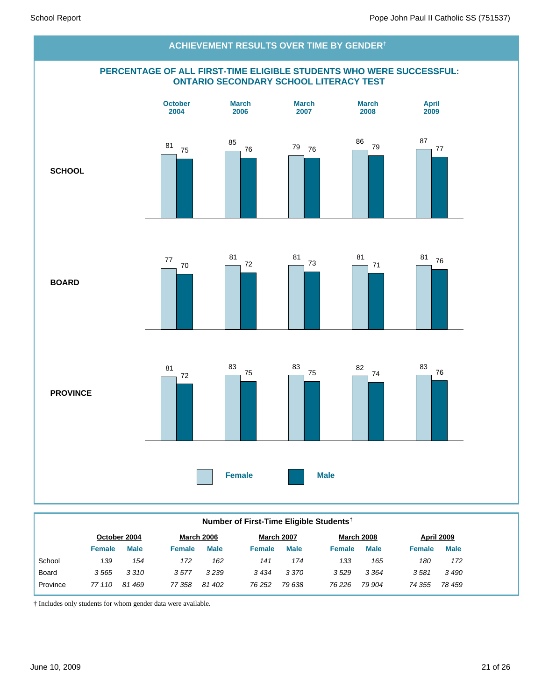

#### **Number of First-Time Eligible Students†**

| October 2004 |             | <b>March 2006</b> |             | <b>March 2007</b> |             | <b>March 2008</b> |             | April 2009    |             |
|--------------|-------------|-------------------|-------------|-------------------|-------------|-------------------|-------------|---------------|-------------|
| Female       | <b>Male</b> | Female            | <b>Male</b> | Female            | <b>Male</b> | <b>Female</b>     | <b>Male</b> | <b>Female</b> | <b>Male</b> |
| 139          | 154         | 172               | 162         | 141               | 174         | 133               | 165         | 180           | 172         |
| 3565         | 3310        | 3577              | 3 2 3 9     | 3434              | 3 3 7 0     | 3529              | 3 3 6 4     | 3581          | 3490        |
| 77 110       | 81469       | 77 358            | 81 402      | 76 252            | 79 638      | 76 226            | 79 904      | 74 355        | 78 459      |
|              |             |                   |             |                   |             |                   |             |               |             |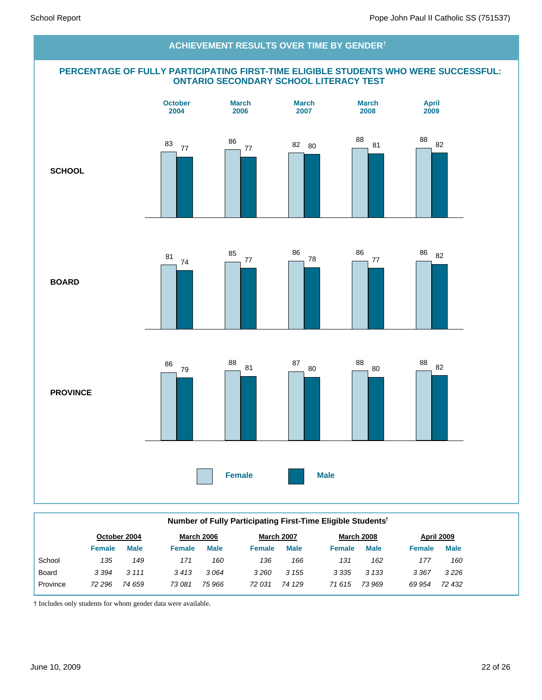#### **PERCENTAGE OF FULLY PARTICIPATING FIRST-TIME ELIGIBLE STUDENTS WHO WERE SUCCESSFUL: ONTARIO SECONDARY SCHOOL LITERACY TEST SCHOOL BOARD PROVINCE Female Male October 2004 March 2006 March 2007 March 2008 April 2009 ACHIEVEMENT RESULTS OVER TIME BY GENDER†** <sup>83</sup> <sup>77</sup> 86 <sup>77</sup> <sup>82</sup> <sup>80</sup> 88 81 <sup>88</sup> <sup>82</sup> 81 74 85 77 86 78 86 77 <sup>86</sup> <sup>82</sup> 86 79 88 <sup>81</sup> <sup>87</sup> 80 88 80  $\frac{88}{9}$  82

| Number of Fully Participating First-Time Eligible Students <sup>†</sup> |               |              |               |                   |               |                   |               |                   |               |             |  |
|-------------------------------------------------------------------------|---------------|--------------|---------------|-------------------|---------------|-------------------|---------------|-------------------|---------------|-------------|--|
|                                                                         |               | October 2004 |               | <b>March 2006</b> |               | <b>March 2007</b> |               | <b>March 2008</b> |               | April 2009  |  |
|                                                                         | <b>Female</b> | <b>Male</b>  | <b>Female</b> | <b>Male</b>       | <b>Female</b> | <b>Male</b>       | <b>Female</b> | <b>Male</b>       | <b>Female</b> | <b>Male</b> |  |
| School                                                                  | 135           | 149          | 171           | 160               | 136           | 166               | 131           | 162               | 177           | 160         |  |
| Board                                                                   | 3 3 9 4       | 3 1 1 1      | 3413          | 3064              | 3260          | 3 1 5 5           | 3 3 3 5       | 3 1 3 3           | 3 3 6 7       | 3226        |  |
| Province                                                                | 72 296        | 74 659       | 73 081        | 75 966            | 72 031        | 74 129            | 71615         | 73 969            | 69 954        | 72 432      |  |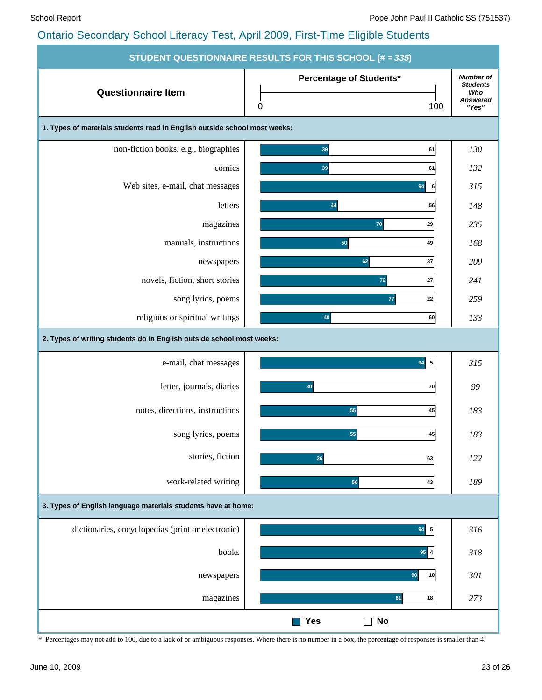|                                                                           | <b>STUDENT QUESTIONNAIRE RESULTS FOR THIS SCHOOL (# = 335)</b> |                                                                 |
|---------------------------------------------------------------------------|----------------------------------------------------------------|-----------------------------------------------------------------|
| <b>Questionnaire Item</b>                                                 | Percentage of Students*<br>$\pmb{0}$<br>100                    | <b>Number of</b><br><b>Students</b><br>Who<br>Answered<br>"Yes" |
| 1. Types of materials students read in English outside school most weeks: |                                                                |                                                                 |
| non-fiction books, e.g., biographies                                      | 39<br>61                                                       | 130                                                             |
| comics                                                                    | 39<br>61                                                       | 132                                                             |
| Web sites, e-mail, chat messages                                          | 94<br>6                                                        | 315                                                             |
| letters                                                                   | 56<br>44                                                       | 148                                                             |
| magazines                                                                 | 70<br>29                                                       | 235                                                             |
| manuals, instructions                                                     | 50<br>49                                                       | 168                                                             |
| newspapers                                                                | 37<br>62                                                       | 209                                                             |
| novels, fiction, short stories                                            | $\mathbf{72}$<br>27                                            | 241                                                             |
| song lyrics, poems                                                        | 77<br>22                                                       | 259                                                             |
| religious or spiritual writings                                           | 40<br>60                                                       | 133                                                             |
| 2. Types of writing students do in English outside school most weeks:     |                                                                |                                                                 |
| e-mail, chat messages                                                     | $94 \overline{5}$                                              | 315                                                             |
| letter, journals, diaries                                                 | 30<br>70                                                       | 99                                                              |
| notes, directions, instructions                                           | 55<br>45                                                       | 183                                                             |
| song lyrics, poems                                                        | 55<br>45                                                       | 183                                                             |
| stories, fiction                                                          | 36<br>63                                                       | 122                                                             |
| work-related writing                                                      | 56<br>43                                                       | 189                                                             |
| 3. Types of English language materials students have at home:             |                                                                |                                                                 |
| dictionaries, encyclopedias (print or electronic)                         | $94 \overline{5}$                                              | 316                                                             |
| books                                                                     | $95$ 4                                                         | 318                                                             |
| newspapers                                                                | 90<br>10                                                       | 301                                                             |
| magazines                                                                 | 81<br>18                                                       | 273                                                             |
|                                                                           | <b>Yes</b><br><b>No</b>                                        |                                                                 |

\* Percentages may not add to 100, due to a lack of or ambiguous responses. Where there is no number in a box, the percentage of responses is smaller than 4.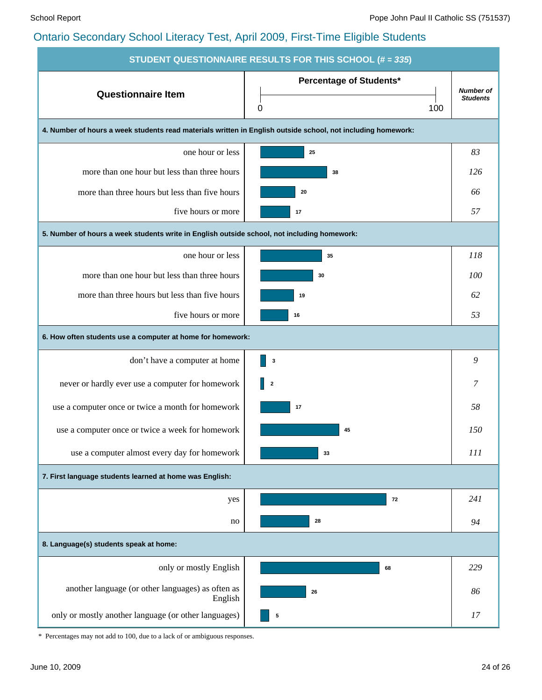| <b>STUDENT QUESTIONNAIRE RESULTS FOR THIS SCHOOL (# = 335)</b>                                               |                                |                  |  |  |  |  |  |  |  |  |
|--------------------------------------------------------------------------------------------------------------|--------------------------------|------------------|--|--|--|--|--|--|--|--|
| <b>Questionnaire Item</b>                                                                                    | <b>Percentage of Students*</b> | <b>Number of</b> |  |  |  |  |  |  |  |  |
|                                                                                                              | 100<br>0                       | <b>Students</b>  |  |  |  |  |  |  |  |  |
| 4. Number of hours a week students read materials written in English outside school, not including homework: |                                |                  |  |  |  |  |  |  |  |  |
| one hour or less                                                                                             | 25                             | 83               |  |  |  |  |  |  |  |  |
| more than one hour but less than three hours                                                                 | 38                             | 126              |  |  |  |  |  |  |  |  |
| more than three hours but less than five hours                                                               | 20                             | 66               |  |  |  |  |  |  |  |  |
| five hours or more                                                                                           | 17                             | 57               |  |  |  |  |  |  |  |  |
| 5. Number of hours a week students write in English outside school, not including homework:                  |                                |                  |  |  |  |  |  |  |  |  |
| one hour or less                                                                                             | 35                             | 118              |  |  |  |  |  |  |  |  |
| more than one hour but less than three hours                                                                 | 30                             | 100              |  |  |  |  |  |  |  |  |
| more than three hours but less than five hours                                                               | 19                             | 62               |  |  |  |  |  |  |  |  |
| five hours or more                                                                                           | 16                             | 53               |  |  |  |  |  |  |  |  |
| 6. How often students use a computer at home for homework:                                                   |                                |                  |  |  |  |  |  |  |  |  |
| don't have a computer at home                                                                                | 3                              | 9                |  |  |  |  |  |  |  |  |
| never or hardly ever use a computer for homework                                                             | $\overline{\mathbf{2}}$        | 7                |  |  |  |  |  |  |  |  |
| use a computer once or twice a month for homework                                                            | 17                             | 58               |  |  |  |  |  |  |  |  |
| use a computer once or twice a week for homework                                                             | 45                             | 150              |  |  |  |  |  |  |  |  |
| use a computer almost every day for homework                                                                 | 33                             | 111              |  |  |  |  |  |  |  |  |
| 7. First language students learned at home was English:                                                      |                                |                  |  |  |  |  |  |  |  |  |
| yes                                                                                                          | 72                             | 241              |  |  |  |  |  |  |  |  |
| no                                                                                                           | 28                             | 94               |  |  |  |  |  |  |  |  |
| 8. Language(s) students speak at home:                                                                       |                                |                  |  |  |  |  |  |  |  |  |
| only or mostly English                                                                                       | 68                             | 229              |  |  |  |  |  |  |  |  |
| another language (or other languages) as often as<br>English                                                 | 26                             | 86               |  |  |  |  |  |  |  |  |
| only or mostly another language (or other languages)                                                         | 5                              | 17               |  |  |  |  |  |  |  |  |

\* Percentages may not add to 100, due to a lack of or ambiguous responses.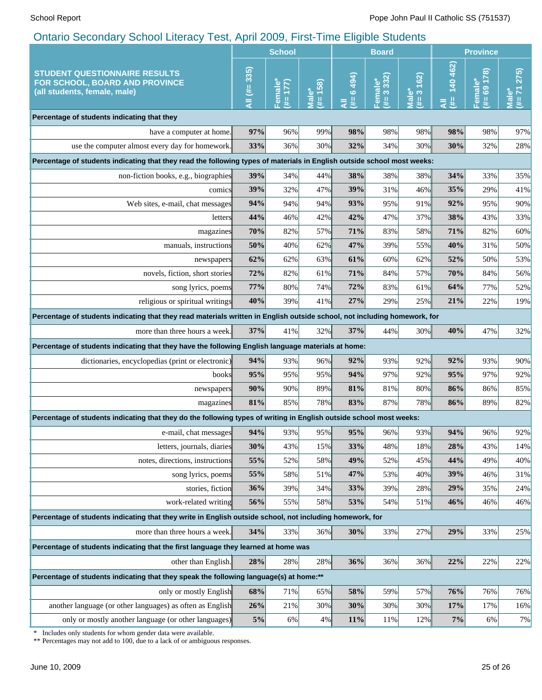|                                                                                                                                            | <b>School</b>    |                                |                         | <b>Board</b>    |                            |                                                                             | <b>Province</b>    |                            |                                                                 |
|--------------------------------------------------------------------------------------------------------------------------------------------|------------------|--------------------------------|-------------------------|-----------------|----------------------------|-----------------------------------------------------------------------------|--------------------|----------------------------|-----------------------------------------------------------------|
| <b>STUDENT QUESTIONNAIRE RESULTS</b><br>FOR SCHOOL, BOARD AND PROVINCE<br>(all students, female, male)                                     | All $(\# = 335)$ | $\overline{17}$<br>Female<br>斐 | 158)<br>مٌ<br>∏al<br>₩. | 6494)<br>₩<br>₹ | 3332)<br>ΰ۵<br>Femal<br>₩. | 162)<br>$\mathring{\text{o}}$<br>$\infty$<br>$\overline{\overline{B}}$<br>₫ | 140 462)<br>₩<br>₹ | 178)<br>Female*<br>69<br>₩ | 275)<br>(1)<br>$\ddot{\mathbf{0}}$<br>$\overline{\overline{B}}$ |
| Percentage of students indicating that they                                                                                                |                  |                                |                         |                 |                            |                                                                             |                    |                            |                                                                 |
| have a computer at home.                                                                                                                   | 97%              | 96%                            | 99%                     | 98%             | 98%                        | 98%                                                                         | 98%                | 98%                        | 97%                                                             |
| use the computer almost every day for homework.                                                                                            | 33%              | 36%                            | 30%                     | 32%             | 34%                        | 30%                                                                         | 30%                | 32%                        | 28%                                                             |
| Percentage of students indicating that they read the following types of materials in English outside school most weeks:                    |                  |                                |                         |                 |                            |                                                                             |                    |                            |                                                                 |
| non-fiction books, e.g., biographies                                                                                                       | 39%              | 34%                            | 44%                     | 38%             | 38%                        | 38%                                                                         | 34%                | 33%                        | 35%                                                             |
| comics                                                                                                                                     | 39%              | 32%                            | 47%                     | 39%             | 31%                        | 46%                                                                         | 35%                | 29%                        | 41%                                                             |
| Web sites, e-mail, chat messages                                                                                                           | 94%              | 94%                            | 94%                     | 93%             | 95%                        | 91%                                                                         | 92%                | 95%                        | 90%                                                             |
| letters                                                                                                                                    | 44%              | 46%                            | 42%                     | 42%             | 47%                        | 37%                                                                         | 38%                | 43%                        | 33%                                                             |
| magazines                                                                                                                                  | 70%              | 82%                            | 57%                     | 71%             | 83%                        | 58%                                                                         | 71%                | 82%                        | 60%                                                             |
| manuals, instructions                                                                                                                      | 50%              | 40%                            | 62%                     | 47%             | 39%                        | 55%                                                                         | 40%                | 31%                        | 50%                                                             |
| newspapers                                                                                                                                 | 62%              | 62%                            | 63%                     | 61%             | 60%                        | 62%                                                                         | 52%                | 50%                        | 53%                                                             |
| novels, fiction, short stories                                                                                                             | 72%              | 82%                            | 61%                     | 71%             | 84%                        | 57%                                                                         | 70%                | 84%                        | 56%                                                             |
| song lyrics, poems                                                                                                                         | 77%              | 80%                            | 74%                     | 72%             | 83%                        | 61%                                                                         | 64%                | 77%                        | 52%                                                             |
| religious or spiritual writings                                                                                                            | 40%              | 39%                            | 41%                     | 27%             | 29%                        | 25%                                                                         | 21%                | 22%                        | 19%                                                             |
| Percentage of students indicating that they read materials written in English outside school, not including homework, for                  |                  |                                |                         |                 |                            |                                                                             |                    |                            |                                                                 |
| more than three hours a week.                                                                                                              | 37%              | 41%                            | 32%                     | 37%             | 44%                        | 30%                                                                         | 40%                | 47%                        | 32%                                                             |
| Percentage of students indicating that they have the following English language materials at home:                                         |                  |                                |                         |                 |                            |                                                                             |                    |                            |                                                                 |
| dictionaries, encyclopedias (print or electronic)                                                                                          | 94%              | 93%                            | 96%                     | 92%             | 93%                        | 92%                                                                         | 92%                | 93%                        | 90%                                                             |
| books                                                                                                                                      | 95%              | 95%                            | 95%                     | 94%             | 97%                        | 92%                                                                         | 95%                | 97%                        | 92%                                                             |
| newspapers                                                                                                                                 | 90%              | 90%                            | 89%                     | 81%             | 81%                        | 80%                                                                         | 86%                | 86%                        | 85%                                                             |
| magazines                                                                                                                                  | 81%              | 85%                            | 78%                     | 83%             | 87%                        | 78%                                                                         | 86%                | 89%                        | 82%                                                             |
| Percentage of students indicating that they do the following types of writing in English outside school most weeks:                        |                  |                                |                         |                 |                            |                                                                             |                    |                            |                                                                 |
| e-mail, chat messages                                                                                                                      | 94%              | 93%                            | 95%                     | 95%             | 96%                        | 93%                                                                         | 94%                | 96%                        | 92%                                                             |
| letters, journals, diaries                                                                                                                 | 30%              | 43%                            | 15%                     | 33%             | 48%                        | 18%                                                                         | 28%                | 43%                        | 14%                                                             |
| notes, directions, instructions                                                                                                            | 55%              | 52%                            | 58%                     | 49%             | 52%                        | 45%                                                                         | 44%                | 49%                        | 40%                                                             |
| song lyrics, poems                                                                                                                         | 55%              | 58%                            | 51%                     | 47%             | 53%                        | 40%                                                                         | 39%                | 46%                        | 31%                                                             |
| stories, fiction                                                                                                                           | 36%              | 39%                            | 34%                     | 33%             | 39%                        | 28%                                                                         | 29%                | 35%                        | 24%                                                             |
| work-related writing                                                                                                                       | 56%              | 55%                            | 58%                     | 53%             | 54%                        | 51%                                                                         | 46%                | 46%                        | 46%                                                             |
| Percentage of students indicating that they write in English outside school, not including homework, for                                   |                  |                                |                         |                 |                            |                                                                             |                    |                            |                                                                 |
| more than three hours a week.                                                                                                              | 34%              | 33%                            | 36%                     | 30%             | 33%                        | 27%                                                                         | 29%                | 33%                        | 25%                                                             |
| Percentage of students indicating that the first language they learned at home was                                                         |                  |                                |                         |                 |                            |                                                                             |                    |                            |                                                                 |
| other than English.                                                                                                                        | 28%              | 28%                            | 28%                     | 36%             | 36%                        | 36%                                                                         | 22%                | 22%                        | 22%                                                             |
| Percentage of students indicating that they speak the following language(s) at home:**                                                     |                  |                                |                         |                 |                            |                                                                             |                    |                            |                                                                 |
| only or mostly English                                                                                                                     | 68%              | 71%                            | 65%                     | 58%             | 59%                        | 57%                                                                         | 76%                | 76%                        | 76%                                                             |
| another language (or other languages) as often as English                                                                                  | 26%              | 21%                            | 30%                     | 30%             | 30%                        | 30%                                                                         | 17%                | 17%                        | 16%                                                             |
| only or mostly another language (or other languages)                                                                                       | 5%               | 6%                             | 4%                      | 11%             | 11%                        | 12%                                                                         | 7%                 | 6%                         | 7%                                                              |
| Includes only students for whom gender data were available.<br>** Percentages may not add to 100, due to a lack of or ambiguous responses. |                  |                                |                         |                 |                            |                                                                             |                    |                            |                                                                 |